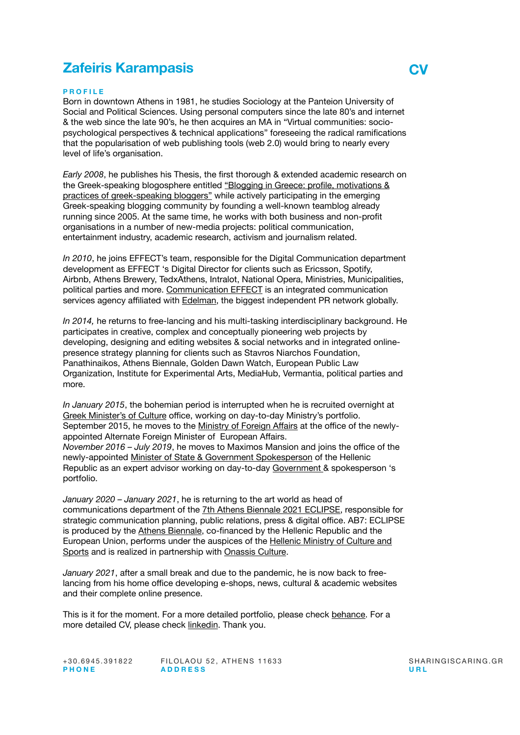# **Zafeiris Karampasis CV**

## **PROFILE**

Born in downtown Athens in 1981, he studies Sociology at the Panteion University of Social and Political Sciences. Using personal computers since the late 80's and internet & the web since the late 90's, he then acquires an MA in "Virtual communities: sociopsychological perspectives & technical applications" foreseeing the radical ramifications that the popularisation of web publishing tools (web 2.0) would bring to nearly every level of life's organisation.

*Early 2008*, he publishes his Thesis, the first thorough & extended academic research on the Greek-speaking blogosphere entitled "Blogging in Greece: profile, motivations & [practices of greek-speaking bloggers"](http://pandemos.panteion.gr/getfile.php?uri=http://localhost:8080/fedora/objects/iid:536/datastreams/PDF1/content&mimetype=application%2Fpdf&filename=Karampasis+Zafeiris.pdf) while actively participating in the emerging Greek-speaking blogging community by founding a well-known teamblog already running since 2005. At the same time, he works with both business and non-profit organisations in a number of new-media projects: political communication, entertainment industry, academic research, activism and journalism related.

*In 2010*, he joins EFFECT's team, responsible for the Digital Communication department development as EFFECT 's Digital Director for clients such as Ericsson, Spotify, Airbnb, Athens Brewery, TedxAthens, Intralot, National Opera, Ministries, Municipalities, political parties and more. [Communication EFFECT](http://communicationeffect.com/) is an integrated communication services agency affiliated with **Edelman**, the biggest independent PR network globally.

*In 2014,* he returns to free-lancing and his multi-tasking interdisciplinary background. He participates in creative, complex and conceptually pioneering web projects by developing, designing and editing websites & social networks and in integrated onlinepresence strategy planning for clients such as Stavros Niarchos Foundation, Panathinaikos, Athens Biennale, Golden Dawn Watch, European Public Law Organization, Institute for Experimental Arts, MediaHub, Vermantia, political parties and more.

*In January 2015*, the bohemian period is interrupted when he is recruited overnight a[t](http://www.culture.gr/culture/eindex.jsp) [Greek Minister's of Culture](http://www.culture.gr/culture/eindex.jsp) office, working on day-to-day Ministry's portfolio. September 2015, he moves to the [Ministry of Foreign A](http://mfa.gr/)ffairs at the office of the newlyappointed Alternate Foreign Minister of European Affairs. *November 2016 – July 2019*, he moves to Maximos Mansion and joins the office of the newly-appointed [Minister of State & Government Spokesperson](http://dimitristzanakopoulos.gr/) of the Hellenic Republic as an expert advisor working on day-to-day [Government](https://government.gov.gr/) & spokesperson 's portfolio.

*January 2020 – January 2021*, he is returning to the art world as head of communications department of the 7th [Athens Biennale 2021 ECLIPSE](https://athensbiennale.org/en/ab7-eclipse/), responsible for strategic communication planning, public relations, press & digital office. AB7: ECLIPSE is produced by the [Athens Biennale,](https://athensbiennale.org/en/) co-financed by the Hellenic Republic and the European Union, performs under the auspices of the [Hellenic Ministry of Culture and](https://www.culture.gov.gr/en/SitePages/default.aspx)  [Sports](https://www.culture.gov.gr/en/SitePages/default.aspx) and is realized in partnership with [Onassis Culture](https://www.onassis.org/culture/).

*January 2021*, after a small break and due to the pandemic, he is now back to freelancing from his home office developing e-shops, news, cultural & academic websites and their complete online presence.

This is it for the moment. For a more detailed portfolio, please check [behance](https://www.behance.net/zkarampasis). For a more detailed CV, please check [linkedin](http://gr.linkedin.com/in/zkarampasis/). Thank you.

+30.6945.391822 FILOLAOU 52, ATHENS 11633 SHARINGISCARING.GR **PHON E ADDRES S URL**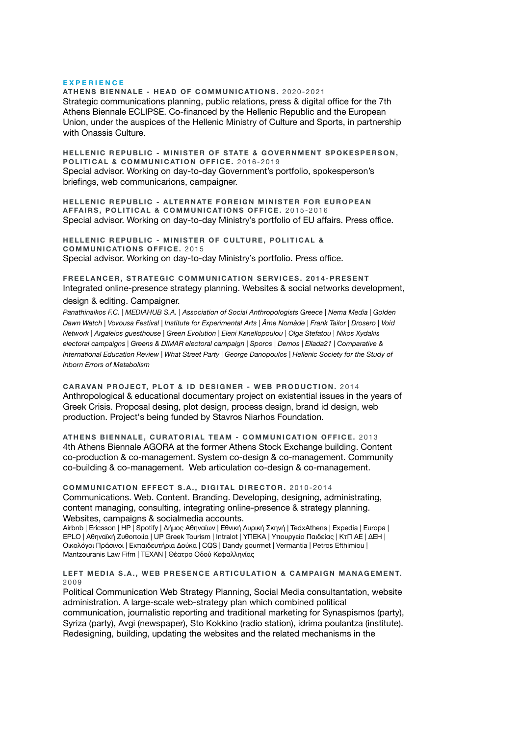#### **EXPERIENCE**

**ATHENS BIENNALE - HEAD OF COMMUNICATIONS.** 2020-2021 Strategic communications planning, public relations, press & digital office for the 7th Athens Biennale ECLIPSE. Co-financed by the Hellenic Republic and the European Union, under the auspices of the Hellenic Ministry of Culture and Sports, in partnership with Onassis Culture.

**HELLENIC REPUBLIC - MINISTER OF STATE & GOVERNMENT SPOKESPERSON, POLITICAL & COMMUNICATION OFFICE.** 2016-2019 Special advisor. Working on day-to-day Government's portfolio, spokesperson's briefings, web communicarions, campaigner.

**HELLENIC REPUBLIC - ALTERNATE FOREIGN MINISTER FOR EUROPEAN AFFAIRS, POLITICAL & COMMUNICATIONS OFFICE.** 2015-2016 Special advisor. Working on day-to-day Ministry's portfolio of EU affairs. Press office.

**HELLENIC REPUBLIC - MINISTER OF CULTURE, POLITICAL & COMMUNICATIONS OFFICE.** 2015 Special advisor. Working on day-to-day Ministry's portfolio. Press office.

**FREELANCER, STRATEGIC COMMUNICATION SERVICES. 2014-PRESENT**  Integrated online-presence strategy planning. Websites & social networks development, design & editing. Campaigner.

*Panathinaikos F.C. | MEDIAHUB S.A. | Association of Social Anthropologists Greece | Nema Media | Golden Dawn Watch | Vovousa Festival | Institute for Experimental Arts | Âme Nomâde | Frank Tailor | Drosero | Void Network | Argaleios guesthouse | Green Evolution | Eleni Kanellopoulou | Olga Stefatou | Nikos Xydakis electoral campaigns | Greens & DIMAR electoral campaign | Sporos | Demos | Ellada21 | Comparative & International Education Review | What Street Party | George Danopoulos | Hellenic Society for the Study of Inborn Errors of Metabolism*

**CARAVAN PROJECT, PLOT & ID DESIGNER - WEB PRODUCTION.** 2014 Anthropological & educational documentary project on existential issues in the years of Greek Crisis. Proposal desing, plot design, process design, brand id design, web production. Project's being funded by Stavros Niarhos Foundation.

**ATHENS BIENNALE, CURATORIAL TEAM - COMMUNICATION OFFICE.** 2013 4th Athens Biennale AGORA at the former Athens Stock Exchange building. Content co-production & co-management. System co-design & co-management. Community co-building & co-management. Web articulation co-design & co-management.

**COMMUNICATION EFFECT S.A., DIGITAL DIRECTOR.** 2010-2014 Communications. Web. Content. Branding. Developing, designing, administrating, content managing, consulting, integrating online-presence & strategy planning. Websites, campaigns & socialmedia accounts.

Airbnb | Ericsson | HP | Spotify | Δήμος Αθηναίων | Εθνική Λυρική Σκηνή | TedxAthens | Expedia | Europa | EPLO | Αθηναϊκή Ζυθοποιία | UP Greek Tourism | Intralot | ΥΠΕΚΑ | Υπουργείο Παιδείας | ΚτΠ ΑΕ | ΔΕΗ | Οικολόγοι Πράσινοι | Εκπαιδευτήρια Δούκα | CQS | Dandy gourmet | Vermantia | Petros Efthimiou | Mantzouranis Law Fifm | ΤΕΧΑΝ | Θέατρο Οδού Κεφαλληνίας

**LEFT MEDIA S.A., WEB PRESENCE ARTICULATION & CAMPAIGN MANAGEMENT.** 2009

Political Communication Web Strategy Planning, Social Media consultantation, website administration. A large-scale web-strategy plan which combined political communication, journalistic reporting and traditional marketing for Synaspismos (party), Syriza (party), Avgi (newspaper), Sto Kokkino (radio station), idrima poulantza (institute). Redesigning, building, updating the websites and the related mechanisms in the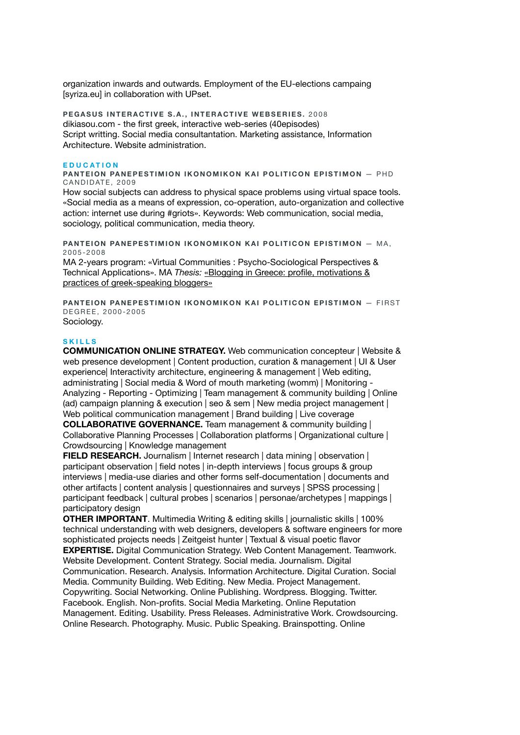organization inwards and outwards. Employment of the EU-elections campaing [syriza.eu] in collaboration with UPset.

**PEGASUS INTERACTIVE S.A., INTERACTIVE WEBSERIES.** 2008 dikiasou.com - the first greek, interactive web-series (40episodes) Script writting. Social media consultantation. Marketing assistance, Information Architecture. Website administration.

### **EDUCATION**

**PANTEION PANEPESTIMION IKONOMIKON KAI POLITICON EPISTIMON** — PHD CANDIDATE, 2009

How social subjects can address to physical space problems using virtual space tools. «Social media as a means of expression, co-operation, auto-organization and collective action: internet use during #griots». Keywords: Web communication, social media, sociology, political communication, media theory.

**PANTEION PANEPESTIMION IKONOMIKON KAI POLITICON EPISTIMON** — MA, 2005-2008

MA 2-years program: «Virtual Communities : Psycho-Sociological Perspectives & Technical Applications». MA *Thesis:* [«Blogging in Greece: profile, motivations &](http://pandemos.panteion.gr/getfile.php?uri=http://localhost:8080/fedora/objects/iid:536/datastreams/PDF1/content&mimetype=application%2Fpdf&filename=Karampasis+Zafeiris.pdf)  [practices of greek-speaking bloggers»](http://pandemos.panteion.gr/getfile.php?uri=http://localhost:8080/fedora/objects/iid:536/datastreams/PDF1/content&mimetype=application%2Fpdf&filename=Karampasis+Zafeiris.pdf)

**PANTEION PANEPESTIMION IKONOMIKON KAI POLITICON EPISTIMON** — FIRST DEGREE, 2000-2005 Sociology.

## **SKILLS**

**COMMUNICATION ONLINE STRATEGY.** Web communication concepteur | Website & web presence development | Content production, curation & management | UI & User experience| Interactivity architecture, engineering & management | Web editing, administrating | Social media & Word of mouth marketing (womm) | Monitoring - Analyzing - Reporting - Optimizing | Team management & community building | Online (ad) campaign planning & execution | seo & sem | New media project management | Web political communication management | Brand building | Live coverage **COLLABORATIVE GOVERNANCE.** Team management & community building | Collaborative Planning Processes | Collaboration platforms | Organizational culture | Crowdsourcing | Knowledge management

**FIELD RESEARCH.** Journalism | Internet research | data mining | observation | participant observation | field notes | in-depth interviews | focus groups & group interviews | media-use diaries and other forms self-documentation | documents and other artifacts | content analysis | questionnaires and surveys | SPSS processing | participant feedback | cultural probes | scenarios | personae/archetypes | mappings | participatory design

**OTHER IMPORTANT**. Multimedia Writing & editing skills | journalistic skills | 100% technical understanding with web designers, developers & software engineers for more sophisticated projects needs | Zeitgeist hunter | Textual & visual poetic flavor **EXPERTISE.** Digital Communication Strategy. Web Content Management. Teamwork. Website Development. Content Strategy. Social media. Journalism. Digital Communication. Research. Analysis. Information Architecture. Digital Curation. Social Media. Community Building. Web Editing. New Media. Project Management. Copywriting. Social Networking. Online Publishing. Wordpress. Blogging. Twitter. Facebook. English. Non-profits. Social Media Marketing. Online Reputation Management. Editing. Usability. Press Releases. Administrative Work. Crowdsourcing. Online Research. Photography. Music. Public Speaking. Brainspotting. Online